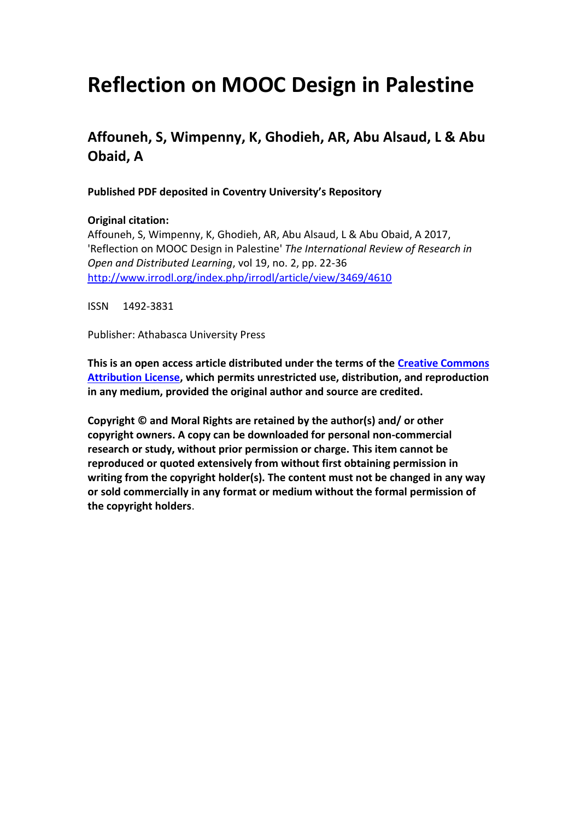# **Reflection on MOOC Design in Palestine**

# **Affouneh, S, Wimpenny, K, Ghodieh, AR, Abu Alsaud, L & Abu Obaid, A**

**Published PDF deposited in Coventry University's Repository**

### **Original citation:**

Affouneh, S, Wimpenny, K, Ghodieh, AR, Abu Alsaud, L & Abu Obaid, A 2017, 'Reflection on MOOC Design in Palestine' *The International Review of Research in Open and Distributed Learning*, vol 19, no. 2, pp. 22-36 <http://www.irrodl.org/index.php/irrodl/article/view/3469/4610>

ISSN 1492-3831

Publisher: Athabasca University Press

**This is an open access article distributed under the terms of the [Creative Commons](http://creativecommons.org/licenses/by/4.0/)  [Attribution License,](http://creativecommons.org/licenses/by/4.0/) which permits unrestricted use, distribution, and reproduction in any medium, provided the original author and source are credited.**

**Copyright © and Moral Rights are retained by the author(s) and/ or other copyright owners. A copy can be downloaded for personal non-commercial research or study, without prior permission or charge. This item cannot be reproduced or quoted extensively from without first obtaining permission in writing from the copyright holder(s). The content must not be changed in any way or sold commercially in any format or medium without the formal permission of the copyright holders**.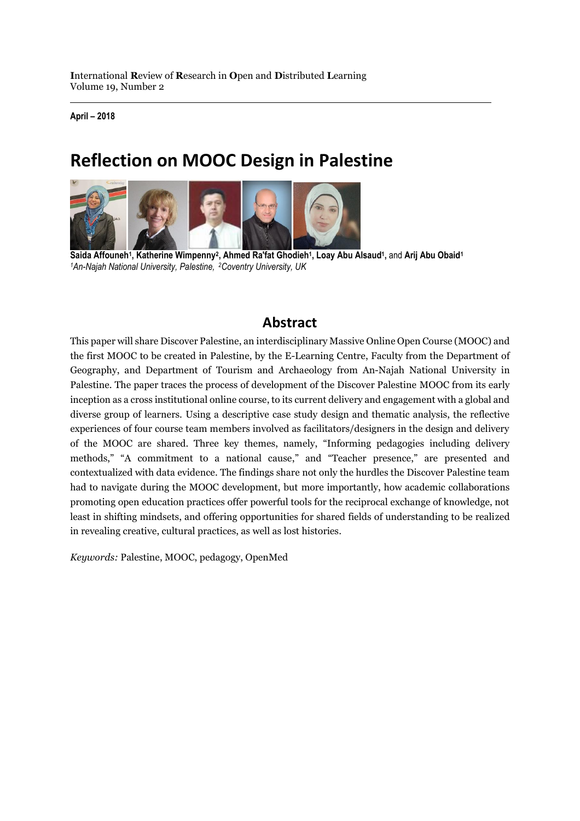**I**nternational **R**eview of **R**esearch in **O**pen and **D**istributed **L**earning Volume 19, Number 2

**April – 2018**

# **Reflection on MOOC Design in Palestine**



**Saida Affouneh<sup>1</sup> , Katherine Wimpenny<sup>2</sup> , Ahmed Ra'fat Ghodieh<sup>1</sup> , Loay Abu Alsaud<sup>1</sup> ,** and **Arij Abu Obaid<sup>1</sup>** *<sup>1</sup>An-Najah National University, Palestine, <sup>2</sup>Coventry University, UK*

# **Abstract**

This paper will share Discover Palestine, an interdisciplinary Massive Online Open Course (MOOC) and the first MOOC to be created in Palestine, by the E-Learning Centre, Faculty from the Department of Geography, and Department of Tourism and Archaeology from An-Najah National University in Palestine. The paper traces the process of development of the Discover Palestine MOOC from its early inception as a cross institutional online course, to its current delivery and engagement with a global and diverse group of learners. Using a descriptive case study design and thematic analysis, the reflective experiences of four course team members involved as facilitators/designers in the design and delivery of the MOOC are shared. Three key themes, namely, "Informing pedagogies including delivery methods," "A commitment to a national cause," and "Teacher presence," are presented and contextualized with data evidence. The findings share not only the hurdles the Discover Palestine team had to navigate during the MOOC development, but more importantly, how academic collaborations promoting open education practices offer powerful tools for the reciprocal exchange of knowledge, not least in shifting mindsets, and offering opportunities for shared fields of understanding to be realized in revealing creative, cultural practices, as well as lost histories.

*Keywords:* Palestine, MOOC, pedagogy, OpenMed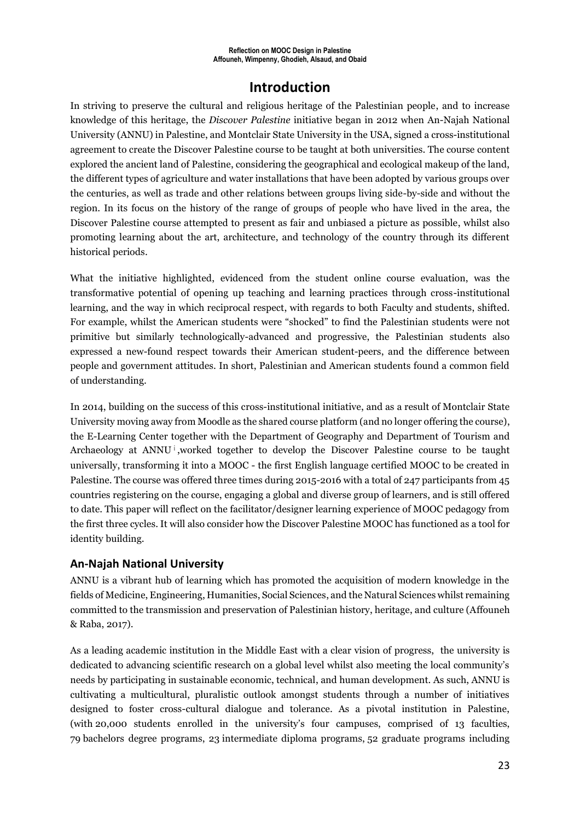# **Introduction**

In striving to preserve the cultural and religious heritage of the Palestinian people, and to increase knowledge of this heritage, the *Discover Palestine* initiative began in 2012 when An-Najah National University (ANNU) in Palestine, and Montclair State University in the USA, signed a cross-institutional agreement to create the Discover Palestine course to be taught at both universities. The course content explored the ancient land of Palestine, considering the geographical and ecological makeup of the land, the different types of agriculture and water installations that have been adopted by various groups over the centuries, as well as trade and other relations between groups living side-by-side and without the region. In its focus on the history of the range of groups of people who have lived in the area, the Discover Palestine course attempted to present as fair and unbiased a picture as possible, whilst also promoting learning about the art, architecture, and technology of the country through its different historical periods.

What the initiative highlighted, evidenced from the student online course evaluation, was the transformative potential of opening up teaching and learning practices through cross-institutional learning, and the way in which reciprocal respect, with regards to both Faculty and students, shifted. For example, whilst the American students were "shocked" to find the Palestinian students were not primitive but similarly technologically-advanced and progressive, the Palestinian students also expressed a new-found respect towards their American student-peers, and the difference between people and government attitudes. In short, Palestinian and American students found a common field of understanding.

In 2014, building on the success of this cross-institutional initiative, and as a result of Montclair State University moving away from Moodle as the shared course platform (and no longer offering the course), the E-Learning Center together with the Department of Geography and Department of Tourism and Archaeology at ANNU<sup>i</sup>, worked together to develop the Discover Palestine course to be taught universally, transforming it into a MOOC - the first English language certified MOOC to be created in Palestine. The course was offered three times during 2015-2016 with a total of 247 participants from 45 countries registering on the course, engaging a global and diverse group of learners, and is still offered to date. This paper will reflect on the facilitator/designer learning experience of MOOC pedagogy from the first three cycles. It will also consider how the Discover Palestine MOOC has functioned as a tool for identity building.

### **An-Najah National University**

ANNU is a vibrant hub of learning which has promoted the acquisition of modern knowledge in the fields of Medicine, Engineering, Humanities, Social Sciences, and the Natural Sciences whilst remaining committed to the transmission and preservation of Palestinian history, heritage, and culture (Affouneh & Raba, 2017).

As a leading academic institution in the Middle East with a clear vision of progress, the university is dedicated to advancing scientific research on a global level whilst also meeting the local community's needs by participating in sustainable economic, technical, and human development. As such, ANNU is cultivating a multicultural, pluralistic outlook amongst students through a number of initiatives designed to foster cross-cultural dialogue and tolerance. As a pivotal institution in Palestine, (with 20,000 students enrolled in the university's four campuses, comprised of 13 faculties, 79 bachelors degree programs, 23 intermediate diploma programs, 52 graduate programs including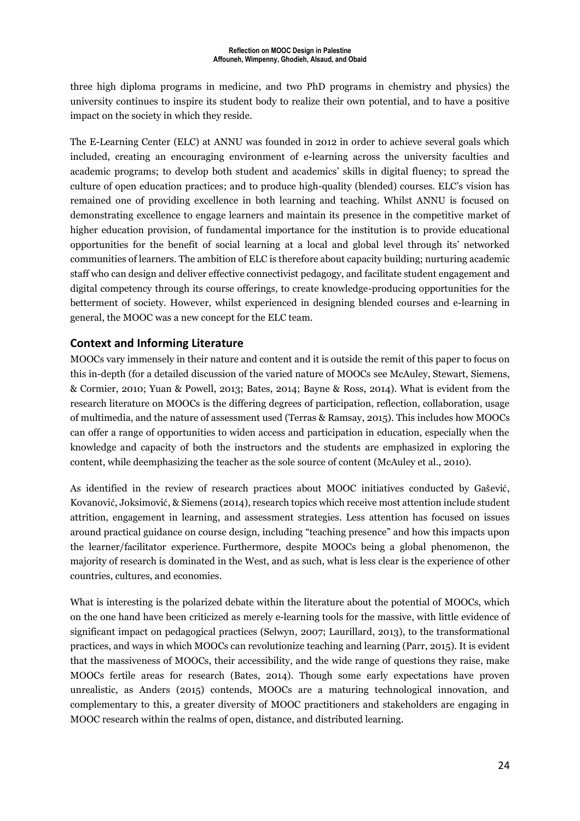three high diploma programs in medicine, and two PhD programs in chemistry and physics) the university continues to inspire its student body to realize their own potential, and to have a positive impact on the society in which they reside.

The E-Learning Center (ELC) at ANNU was founded in 2012 in order to achieve several goals which included, creating an encouraging environment of e-learning across the university faculties and academic programs; to develop both student and academics' skills in digital fluency; to spread the culture of open education practices; and to produce high-quality (blended) courses. ELC's vision has remained one of providing excellence in both learning and teaching. Whilst ANNU is focused on demonstrating excellence to engage learners and maintain its presence in the competitive market of higher education provision, of fundamental importance for the institution is to provide educational opportunities for the benefit of social learning at a local and global level through its' networked communities of learners. The ambition of ELC is therefore about capacity building; nurturing academic staff who can design and deliver effective connectivist pedagogy, and facilitate student engagement and digital competency through its course offerings, to create knowledge-producing opportunities for the betterment of society. However, whilst experienced in designing blended courses and e-learning in general, the MOOC was a new concept for the ELC team.

### **Context and Informing Literature**

MOOCs vary immensely in their nature and content and it is outside the remit of this paper to focus on this in-depth (for a detailed discussion of the varied nature of MOOCs see McAuley, Stewart, Siemens, & Cormier, 2010; Yuan & Powell, 2013; Bates, 2014; Bayne & Ross, 2014). What is evident from the research literature on MOOCs is the differing degrees of participation, reflection, collaboration, usage of multimedia, and the nature of assessment used (Terras & Ramsay, 2015). This includes how MOOCs can offer a range of opportunities to widen access and participation in education, especially when the knowledge and capacity of both the instructors and the students are emphasized in exploring the content, while deemphasizing the teacher as the sole source of content (McAuley et al., 2010).

As identified in the review of research practices about MOOC initiatives conducted by Gašević, Kovanović, Joksimović, & Siemens (2014), research topics which receive most attention include student attrition, engagement in learning, and assessment strategies. Less attention has focused on issues around practical guidance on course design, including "teaching presence" and how this impacts upon the learner/facilitator experience. Furthermore, despite MOOCs being a global phenomenon, the majority of research is dominated in the West, and as such, what is less clear is the experience of other countries, cultures, and economies.

What is interesting is the polarized debate within the literature about the potential of MOOCs, which on the one hand have been criticized as merely e-learning tools for the massive, with little evidence of significant impact on pedagogical practices (Selwyn, 2007; Laurillard, 2013), to the transformational practices, and ways in which MOOCs can revolutionize teaching and learning (Parr, 2015). It is evident that the massiveness of MOOCs, their accessibility, and the wide range of questions they raise, make MOOCs fertile areas for research (Bates, 2014). Though some early expectations have proven unrealistic, as Anders (2015) contends, MOOCs are a maturing technological innovation, and complementary to this, a greater diversity of MOOC practitioners and stakeholders are engaging in MOOC research within the realms of open, distance, and distributed learning.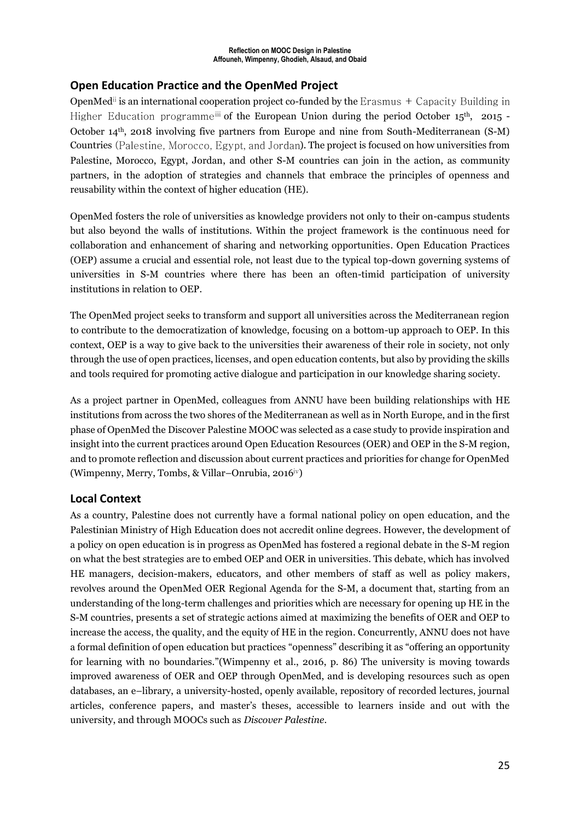# **Open Education Practice and the OpenMed Project**

**OpenMed**<sup>ii</sup> is an international cooperation project co-funded by the Erasmus  $+$  Capacity Building in Higher Education programme is of the European Union during the period October 15<sup>th</sup>, 2015 -October 14th, 2018 involving five partners from Europe and nine from South-Mediterranean (S-M) Countries (Palestine, Morocco, Egypt, and Jordan). The project is focused on how universities from Palestine, Morocco, Egypt, Jordan, and other S-M countries can join in the action, as community partners, in the adoption of strategies and channels that embrace the principles of openness and reusability within the context of higher education (HE).

OpenMed fosters the role of universities as knowledge providers not only to their on-campus students but also beyond the walls of institutions. Within the project framework is the continuous need for collaboration and enhancement of sharing and networking opportunities. Open Education Practices (OEP) assume a crucial and essential role, not least due to the typical top-down governing systems of universities in S-M countries where there has been an often-timid participation of university institutions in relation to OEP.

The OpenMed project seeks to transform and support all universities across the Mediterranean region to contribute to the democratization of knowledge, focusing on a bottom-up approach to OEP. In this context, OEP is a way to give back to the universities their awareness of their role in society, not only through the use of open practices, licenses, and open education contents, but also by providing the skills and tools required for promoting active dialogue and participation in our knowledge sharing society.

As a project partner in OpenMed, colleagues from ANNU have been building relationships with HE institutions from across the two shores of the Mediterranean as well as in North Europe, and in the first phase of OpenMed the Discover Palestine MOOC was selected as a case study to provide inspiration and insight into the current practices around Open Education Resources (OER) and OEP in the S-M region, and to promote reflection and discussion about current practices and priorities for change for OpenMed (Wimpenny, Merry, Tombs, & Villar–Onrubia, 2016<sup>iv</sup>)

### **Local Context**

As a country, Palestine does not currently have a formal national policy on open education, and the Palestinian Ministry of High Education does not accredit online degrees. However, the development of a policy on open education is in progress as OpenMed has fostered a regional debate in the S-M region on what the best strategies are to embed OEP and OER in universities. This debate, which has involved HE managers, decision-makers, educators, and other members of staff as well as policy makers, revolves around the OpenMed OER Regional Agenda for the S-M, a document that, starting from an understanding of the long-term challenges and priorities which are necessary for opening up HE in the S-M countries, presents a set of strategic actions aimed at maximizing the benefits of OER and OEP to increase the access, the quality, and the equity of HE in the region. Concurrently, ANNU does not have a formal definition of open education but practices "openness" describing it as "offering an opportunity for learning with no boundaries."(Wimpenny et al., 2016, p. 86) The university is moving towards improved awareness of OER and OEP through OpenMed, and is developing resources such as open databases, an e–library, a university-hosted, openly available, repository of recorded lectures, journal articles, conference papers, and master's theses, accessible to learners inside and out with the university, and through MOOCs such as *Discover Palestine*.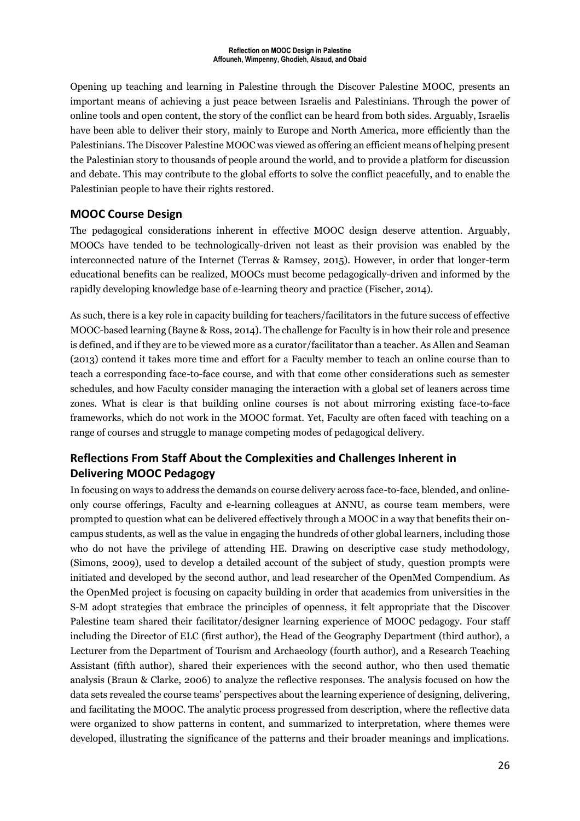Opening up teaching and learning in Palestine through the Discover Palestine MOOC, presents an important means of achieving a just peace between Israelis and Palestinians. Through the power of online tools and open content, the story of the conflict can be heard from both sides. Arguably, Israelis have been able to deliver their story, mainly to Europe and North America, more efficiently than the Palestinians. The Discover Palestine MOOC was viewed as offering an efficient means of helping present the Palestinian story to thousands of people around the world, and to provide a platform for discussion and debate. This may contribute to the global efforts to solve the conflict peacefully, and to enable the Palestinian people to have their rights restored.

# **MOOC Course Design**

The pedagogical considerations inherent in effective MOOC design deserve attention. Arguably, MOOCs have tended to be technologically-driven not least as their provision was enabled by the interconnected nature of the Internet (Terras & Ramsey, 2015). However, in order that longer-term educational benefits can be realized, MOOCs must become pedagogically-driven and informed by the rapidly developing knowledge base of e-learning theory and practice (Fischer, 2014).

As such, there is a key role in capacity building for teachers/facilitators in the future success of effective MOOC-based learning (Bayne & Ross, 2014). The challenge for Faculty is in how their role and presence is defined, and if they are to be viewed more as a curator/facilitator than a teacher. As Allen and Seaman (2013) contend it takes more time and effort for a Faculty member to teach an online course than to teach a corresponding face-to-face course, and with that come other considerations such as semester schedules, and how Faculty consider managing the interaction with a global set of leaners across time zones. What is clear is that building online courses is not about mirroring existing face-to-face frameworks, which do not work in the MOOC format. Yet, Faculty are often faced with teaching on a range of courses and struggle to manage competing modes of pedagogical delivery.

# **Reflections From Staff About the Complexities and Challenges Inherent in Delivering MOOC Pedagogy**

In focusing on ways to address the demands on course delivery across face-to-face, blended, and onlineonly course offerings, Faculty and e-learning colleagues at ANNU, as course team members, were prompted to question what can be delivered effectively through a MOOC in a way that benefits their oncampus students, as well as the value in engaging the hundreds of other global learners, including those who do not have the privilege of attending HE. Drawing on descriptive case study methodology, (Simons, 2009), used to develop a detailed account of the subject of study, question prompts were initiated and developed by the second author, and lead researcher of the OpenMed Compendium. As the OpenMed project is focusing on capacity building in order that academics from universities in the S-M adopt strategies that embrace the principles of openness, it felt appropriate that the Discover Palestine team shared their facilitator/designer learning experience of MOOC pedagogy. Four staff including the Director of ELC (first author), the Head of the Geography Department (third author), a Lecturer from the Department of Tourism and Archaeology (fourth author), and a Research Teaching Assistant (fifth author), shared their experiences with the second author, who then used thematic analysis (Braun & Clarke, 2006) to analyze the reflective responses. The analysis focused on how the data sets revealed the course teams' perspectives about the learning experience of designing, delivering, and facilitating the MOOC. The analytic process progressed from description, where the reflective data were organized to show patterns in content, and summarized to interpretation, where themes were developed, illustrating the significance of the patterns and their broader meanings and implications.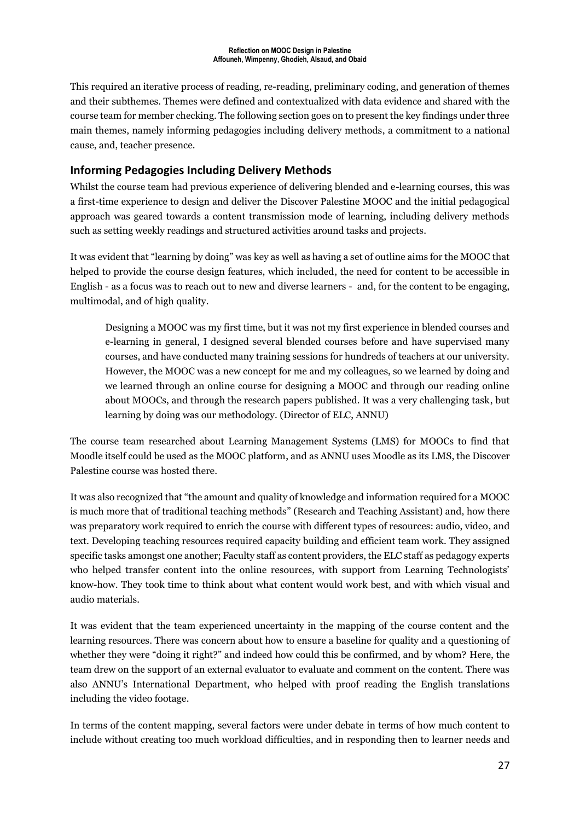This required an iterative process of reading, re-reading, preliminary coding, and generation of themes and their subthemes. Themes were defined and contextualized with data evidence and shared with the course team for member checking. The following section goes on to present the key findings under three main themes, namely informing pedagogies including delivery methods, a commitment to a national cause, and, teacher presence.

# **Informing Pedagogies Including Delivery Methods**

Whilst the course team had previous experience of delivering blended and e-learning courses, this was a first-time experience to design and deliver the Discover Palestine MOOC and the initial pedagogical approach was geared towards a content transmission mode of learning, including delivery methods such as setting weekly readings and structured activities around tasks and projects.

It was evident that "learning by doing" was key as well as having a set of outline aims for the MOOC that helped to provide the course design features, which included, the need for content to be accessible in English - as a focus was to reach out to new and diverse learners - and, for the content to be engaging, multimodal, and of high quality.

Designing a MOOC was my first time, but it was not my first experience in blended courses and e-learning in general, I designed several blended courses before and have supervised many courses, and have conducted many training sessions for hundreds of teachers at our university. However, the MOOC was a new concept for me and my colleagues, so we learned by doing and we learned through an online course for designing a MOOC and through our reading online about MOOCs, and through the research papers published. It was a very challenging task, but learning by doing was our methodology. (Director of ELC, ANNU)

The course team researched about Learning Management Systems (LMS) for MOOCs to find that Moodle itself could be used as the MOOC platform, and as ANNU uses Moodle as its LMS, the Discover Palestine course was hosted there.

It was also recognized that "the amount and quality of knowledge and information required for a MOOC is much more that of traditional teaching methods" (Research and Teaching Assistant) and, how there was preparatory work required to enrich the course with different types of resources: audio, video, and text. Developing teaching resources required capacity building and efficient team work. They assigned specific tasks amongst one another; Faculty staff as content providers, the ELC staff as pedagogy experts who helped transfer content into the online resources, with support from Learning Technologists' know-how. They took time to think about what content would work best, and with which visual and audio materials.

It was evident that the team experienced uncertainty in the mapping of the course content and the learning resources. There was concern about how to ensure a baseline for quality and a questioning of whether they were "doing it right?" and indeed how could this be confirmed, and by whom? Here, the team drew on the support of an external evaluator to evaluate and comment on the content. There was also ANNU's International Department, who helped with proof reading the English translations including the video footage.

In terms of the content mapping, several factors were under debate in terms of how much content to include without creating too much workload difficulties, and in responding then to learner needs and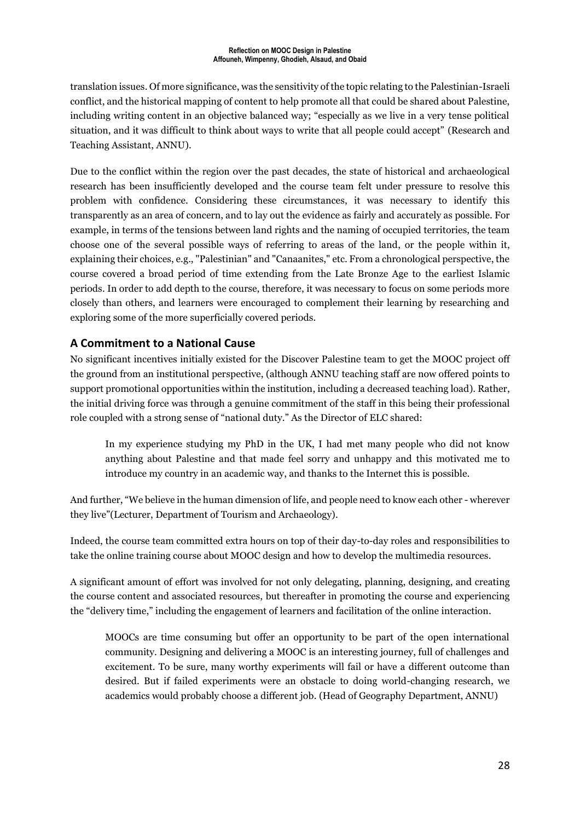translation issues. Of more significance, was the sensitivity of the topic relating to the Palestinian-Israeli conflict, and the historical mapping of content to help promote all that could be shared about Palestine, including writing content in an objective balanced way; "especially as we live in a very tense political situation, and it was difficult to think about ways to write that all people could accept" (Research and Teaching Assistant, ANNU).

Due to the conflict within the region over the past decades, the state of historical and archaeological research has been insufficiently developed and the course team felt under pressure to resolve this problem with confidence. Considering these circumstances, it was necessary to identify this transparently as an area of concern, and to lay out the evidence as fairly and accurately as possible. For example, in terms of the tensions between land rights and the naming of occupied territories, the team choose one of the several possible ways of referring to areas of the land, or the people within it, explaining their choices, e.g., "Palestinian" and "Canaanites," etc. From a chronological perspective, the course covered a broad period of time extending from the Late Bronze Age to the earliest Islamic periods. In order to add depth to the course, therefore, it was necessary to focus on some periods more closely than others, and learners were encouraged to complement their learning by researching and exploring some of the more superficially covered periods.

# **A Commitment to a National Cause**

No significant incentives initially existed for the Discover Palestine team to get the MOOC project off the ground from an institutional perspective, (although ANNU teaching staff are now offered points to support promotional opportunities within the institution, including a decreased teaching load). Rather, the initial driving force was through a genuine commitment of the staff in this being their professional role coupled with a strong sense of "national duty." As the Director of ELC shared:

In my experience studying my PhD in the UK, I had met many people who did not know anything about Palestine and that made feel sorry and unhappy and this motivated me to introduce my country in an academic way, and thanks to the Internet this is possible.

And further, "We believe in the human dimension of life, and people need to know each other - wherever they live"(Lecturer, Department of Tourism and Archaeology).

Indeed, the course team committed extra hours on top of their day-to-day roles and responsibilities to take the online training course about MOOC design and how to develop the multimedia resources.

A significant amount of effort was involved for not only delegating, planning, designing, and creating the course content and associated resources, but thereafter in promoting the course and experiencing the "delivery time," including the engagement of learners and facilitation of the online interaction.

MOOCs are time consuming but offer an opportunity to be part of the open international community. Designing and delivering a MOOC is an interesting journey, full of challenges and excitement. To be sure, many worthy experiments will fail or have a different outcome than desired. But if failed experiments were an obstacle to doing world-changing research, we academics would probably choose a different job. (Head of Geography Department, ANNU)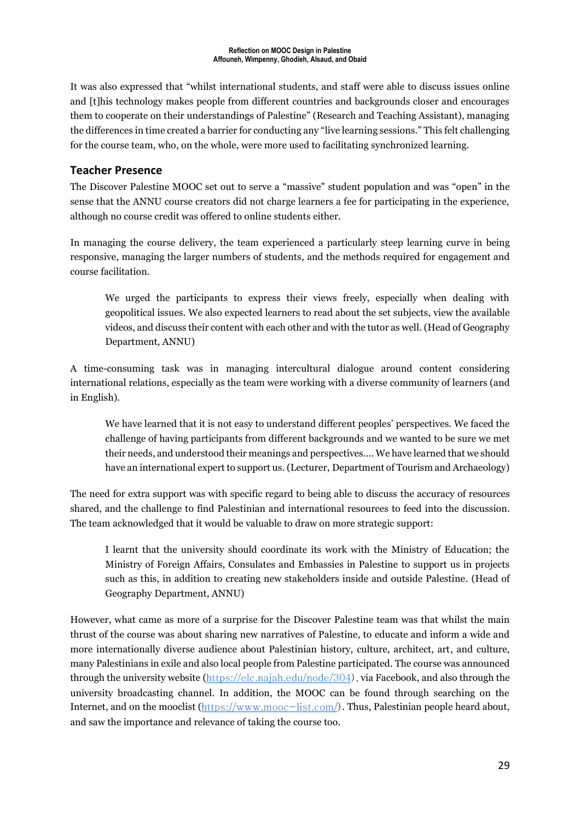It was also expressed that "whilst international students, and staff were able to discuss issues online and [t]his technology makes people from different countries and backgrounds closer and encourages them to cooperate on their understandings of Palestine" (Research and Teaching Assistant), managing the differences in time created a barrier for conducting any "live learning sessions." This felt challenging for the course team, who, on the whole, were more used to facilitating synchronized learning.

### **Teacher Presence**

The Discover Palestine MOOC set out to serve a "massive" student population and was "open" in the sense that the ANNU course creators did not charge learners a fee for participating in the experience, although no course credit was offered to online students either.

In managing the course delivery, the team experienced a particularly steep learning curve in being responsive, managing the larger numbers of students, and the methods required for engagement and course facilitation.

We urged the participants to express their views freely, especially when dealing with geopolitical issues. We also expected learners to read about the set subjects, view the available videos, and discuss their content with each other and with the tutor as well. (Head of Geography Department, ANNU)

A time-consuming task was in managing intercultural dialogue around content considering international relations, especially as the team were working with a diverse community of learners (and in English).

We have learned that it is not easy to understand different peoples' perspectives. We faced the challenge of having participants from different backgrounds and we wanted to be sure we met their needs, and understood their meanings and perspectives.... We have learned that we should have an international expert to support us. (Lecturer, Department of Tourism and Archaeology)

The need for extra support was with specific regard to being able to discuss the accuracy of resources shared, and the challenge to find Palestinian and international resources to feed into the discussion. The team acknowledged that it would be valuable to draw on more strategic support:

I learnt that the university should coordinate its work with the Ministry of Education; the Ministry of Foreign Affairs, Consulates and Embassies in Palestine to support us in projects such as this, in addition to creating new stakeholders inside and outside Palestine. (Head of Geography Department, ANNU)

However, what came as more of a surprise for the Discover Palestine team was that whilst the main thrust of the course was about sharing new narratives of Palestine, to educate and inform a wide and more internationally diverse audience about Palestinian history, culture, architect, art, and culture, many Palestinians in exile and also local people from Palestine participated. The course was announced through the university website [\(](https://elc.najah.edu/node/304) $\frac{http://elc.najah.edu/node/304)}{http://elc.najah.edu/node/304)}$ , via Facebook, and also through the university broadcasting channel. In addition, the MOOC can be found through searching on the Internet, and on the mooclist [\(](https://www.mooc-list.com/) $\frac{https://www.mooc-list.com/}{www.mooc-list.com/}$ . Thus, Palestinian people heard about, and saw the importance and relevance of taking the course too.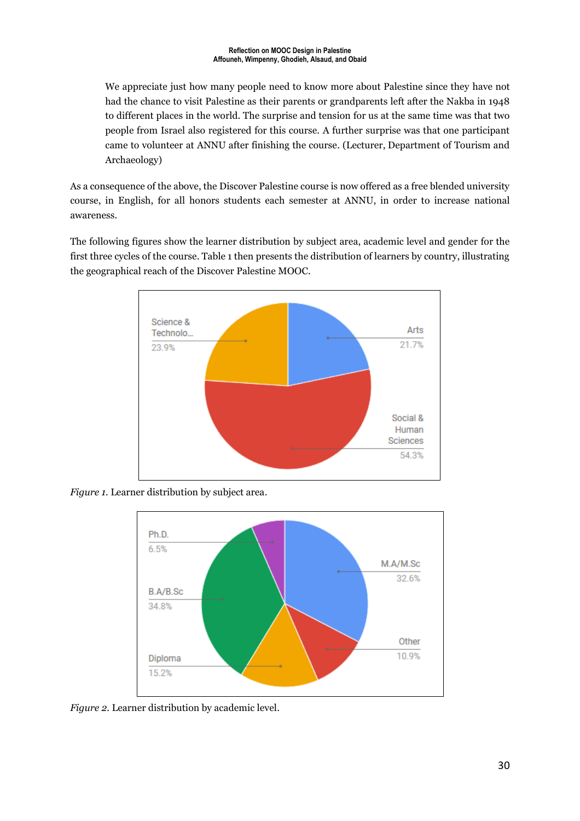We appreciate just how many people need to know more about Palestine since they have not had the chance to visit Palestine as their parents or grandparents left after the Nakba in 1948 to different places in the world. The surprise and tension for us at the same time was that two people from Israel also registered for this course. A further surprise was that one participant came to volunteer at ANNU after finishing the course. (Lecturer, Department of Tourism and Archaeology)

As a consequence of the above, the Discover Palestine course is now offered as a free blended university course, in English, for all honors students each semester at ANNU, in order to increase national awareness.

The following figures show the learner distribution by subject area, academic level and gender for the first three cycles of the course. Table 1 then presents the distribution of learners by country, illustrating the geographical reach of the Discover Palestine MOOC.



*Figure 1.* Learner distribution by subject area.



*Figure 2.* Learner distribution by academic level.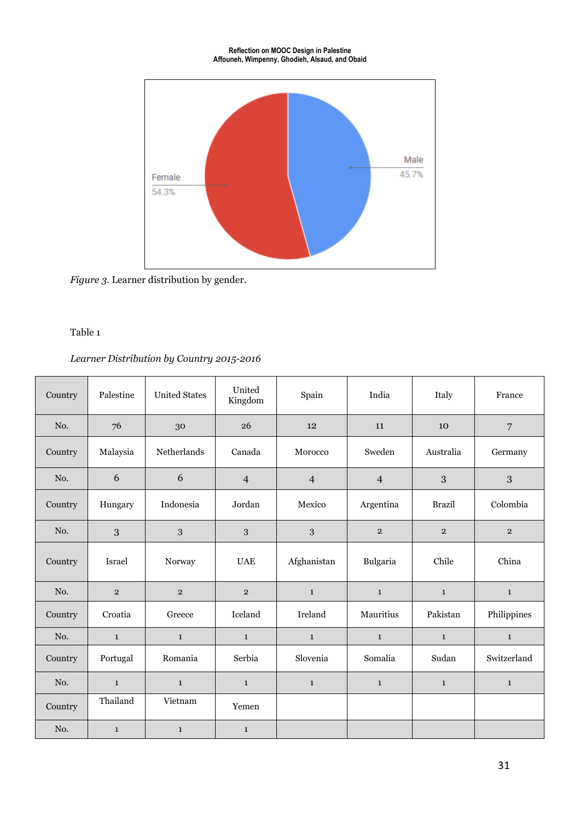

*Figure 3.* Learner distribution by gender.

### Table 1

# *Learner Distribution by Country 2015-2016*

| Country | Palestine    | <b>United States</b> | United<br>Kingdom | Spain          | India          | Italy          | France         |
|---------|--------------|----------------------|-------------------|----------------|----------------|----------------|----------------|
| No.     | 76           | 30                   | 26                | 12             | 11             | 10             | $\overline{7}$ |
| Country | Malaysia     | Netherlands          | Canada            | Morocco        | Sweden         | Australia      | Germany        |
| No.     | 6            | 6                    | $\overline{4}$    | $\overline{4}$ | $\overline{4}$ | 3              | $\sqrt{3}$     |
| Country | Hungary      | Indonesia            | Jordan            | Mexico         | Argentina      | <b>Brazil</b>  | Colombia       |
| No.     | 3            | 3                    | $\sqrt{3}$        | 3              | $\overline{2}$ | $\overline{2}$ | $\overline{2}$ |
| Country | Israel       | Norway               | <b>UAE</b>        | Afghanistan    | Bulgaria       | Chile          | China          |
| No.     | $\mathbf 2$  | $\overline{2}$       | $\overline{2}$    | $\mathbf{1}$   | $\mathbf{1}$   | $\mathbf{1}$   | $\mathbf 1$    |
| Country | Croatia      | Greece               | Iceland           | Ireland        | Mauritius      | Pakistan       | Philippines    |
| No.     | $\mathbf{1}$ | $\mathbf{1}$         | $\mathbf{1}$      | $\mathbf{1}$   | $\mathbf{1}$   | $\mathbf{1}$   | $\mathbf{1}$   |
| Country | Portugal     | Romania              | Serbia            | Slovenia       | Somalia        | Sudan          | Switzerland    |
| No.     | $\mathbf{1}$ | $\mathbf{1}$         | $\mathbf{1}$      | $\mathbf{1}$   | $\mathbf{1}$   | $\mathbf{1}$   | $\mathbf{1}$   |
| Country | Thailand     | Vietnam              | Yemen             |                |                |                |                |
| No.     | $\mathbf{1}$ | $\mathbf{1}$         | $\mathbf{1}$      |                |                |                |                |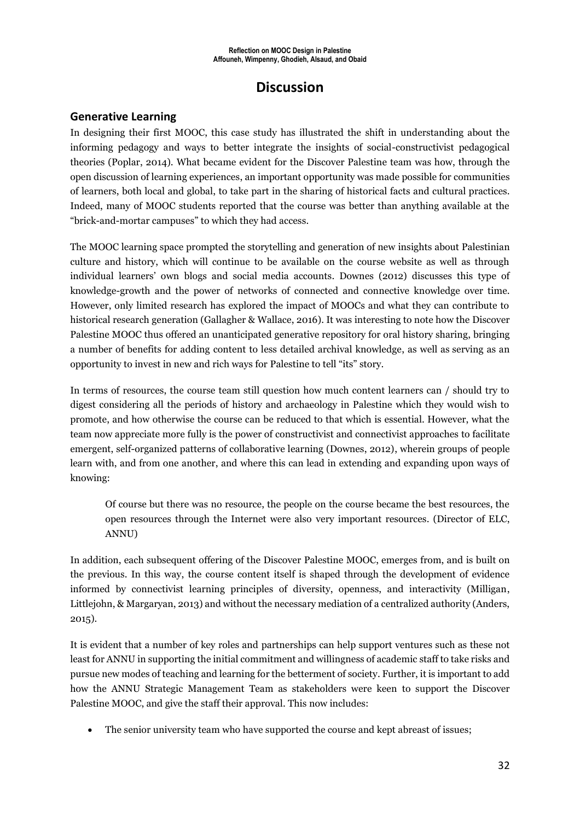# **Discussion**

### **Generative Learning**

In designing their first MOOC, this case study has illustrated the shift in understanding about the informing pedagogy and ways to better integrate the insights of social-constructivist pedagogical theories (Poplar, 2014). What became evident for the Discover Palestine team was how, through the open discussion of learning experiences, an important opportunity was made possible for communities of learners, both local and global, to take part in the sharing of historical facts and cultural practices. Indeed, many of MOOC students reported that the course was better than anything available at the "brick-and-mortar campuses" to which they had access.

The MOOC learning space prompted the storytelling and generation of new insights about Palestinian culture and history, which will continue to be available on the course website as well as through individual learners' own blogs and social media accounts. Downes (2012) discusses this type of knowledge-growth and the power of networks of connected and connective knowledge over time. However, only limited research has explored the impact of MOOCs and what they can contribute to historical research generation (Gallagher & Wallace, 2016). It was interesting to note how the Discover Palestine MOOC thus offered an unanticipated generative repository for oral history sharing, bringing a number of benefits for adding content to less detailed archival knowledge, as well as serving as an opportunity to invest in new and rich ways for Palestine to tell "its" story.

In terms of resources, the course team still question how much content learners can / should try to digest considering all the periods of history and archaeology in Palestine which they would wish to promote, and how otherwise the course can be reduced to that which is essential. However, what the team now appreciate more fully is the power of constructivist and connectivist approaches to facilitate emergent, self-organized patterns of collaborative learning (Downes, 2012), wherein groups of people learn with, and from one another, and where this can lead in extending and expanding upon ways of knowing:

Of course but there was no resource, the people on the course became the best resources, the open resources through the Internet were also very important resources. (Director of ELC, ANNU)

In addition, each subsequent offering of the Discover Palestine MOOC, emerges from, and is built on the previous. In this way, the course content itself is shaped through the development of evidence informed by connectivist learning principles of diversity, openness, and interactivity (Milligan, Littlejohn, & Margaryan, 2013) and without the necessary mediation of a centralized authority (Anders, 2015).

It is evident that a number of key roles and partnerships can help support ventures such as these not least for ANNU in supporting the initial commitment and willingness of academic staff to take risks and pursue new modes of teaching and learning for the betterment of society. Further, it is important to add how the ANNU Strategic Management Team as stakeholders were keen to support the Discover Palestine MOOC, and give the staff their approval. This now includes:

The senior university team who have supported the course and kept abreast of issues;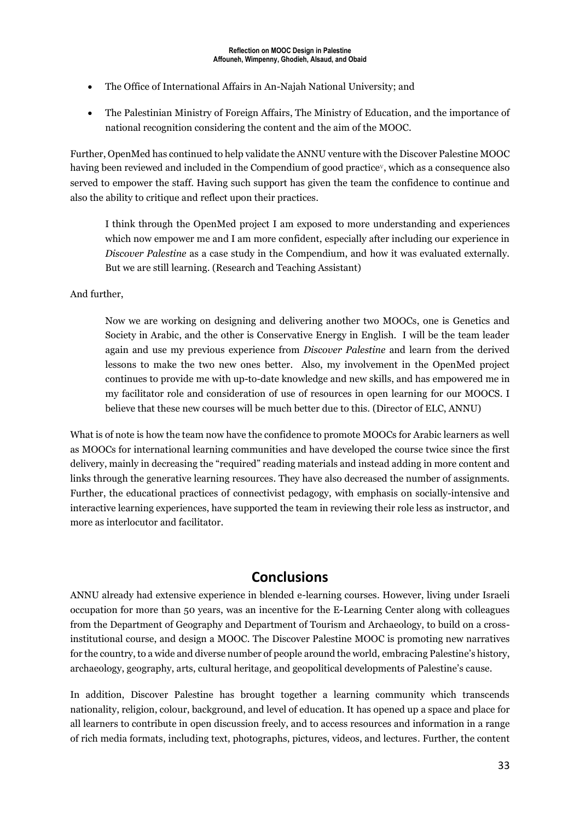- The Office of International Affairs in An-Najah National University; and
- The Palestinian Ministry of Foreign Affairs, The Ministry of Education, and the importance of national recognition considering the content and the aim of the MOOC.

Further, OpenMed has continued to help validate the ANNU venture with the Discover Palestine MOOC having been reviewed and included in the Compendium of good practice<sup>y</sup>, which as a consequence also served to empower the staff. Having such support has given the team the confidence to continue and also the ability to critique and reflect upon their practices.

I think through the OpenMed project I am exposed to more understanding and experiences which now empower me and I am more confident, especially after including our experience in *Discover Palestine* as a case study in the Compendium, and how it was evaluated externally. But we are still learning. (Research and Teaching Assistant)

And further,

Now we are working on designing and delivering another two MOOCs, one is Genetics and Society in Arabic, and the other is Conservative Energy in English. I will be the team leader again and use my previous experience from *Discover Palestine* and learn from the derived lessons to make the two new ones better. Also, my involvement in the OpenMed project continues to provide me with up-to-date knowledge and new skills, and has empowered me in my facilitator role and consideration of use of resources in open learning for our MOOCS. I believe that these new courses will be much better due to this. (Director of ELC, ANNU)

What is of note is how the team now have the confidence to promote MOOCs for Arabic learners as well as MOOCs for international learning communities and have developed the course twice since the first delivery, mainly in decreasing the "required" reading materials and instead adding in more content and links through the generative learning resources. They have also decreased the number of assignments. Further, the educational practices of connectivist pedagogy, with emphasis on socially-intensive and interactive learning experiences, have supported the team in reviewing their role less as instructor, and more as interlocutor and facilitator.

# **Conclusions**

ANNU already had extensive experience in blended e-learning courses. However, living under Israeli occupation for more than 50 years, was an incentive for the E-Learning Center along with colleagues from the Department of Geography and Department of Tourism and Archaeology, to build on a crossinstitutional course, and design a MOOC. The Discover Palestine MOOC is promoting new narratives for the country, to a wide and diverse number of people around the world, embracing Palestine's history, archaeology, geography, arts, cultural heritage, and geopolitical developments of Palestine's cause.

In addition, Discover Palestine has brought together a learning community which transcends nationality, religion, colour, background, and level of education. It has opened up a space and place for all learners to contribute in open discussion freely, and to access resources and information in a range of rich media formats, including text, photographs, pictures, videos, and lectures. Further, the content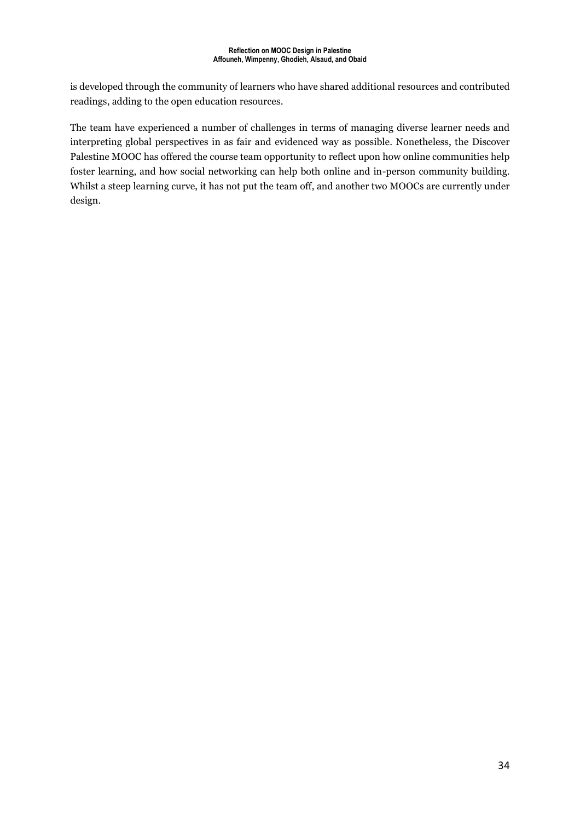is developed through the community of learners who have shared additional resources and contributed readings, adding to the open education resources.

The team have experienced a number of challenges in terms of managing diverse learner needs and interpreting global perspectives in as fair and evidenced way as possible. Nonetheless, the Discover Palestine MOOC has offered the course team opportunity to reflect upon how online communities help foster learning, and how social networking can help both online and in-person community building. Whilst a steep learning curve, it has not put the team off, and another two MOOCs are currently under design.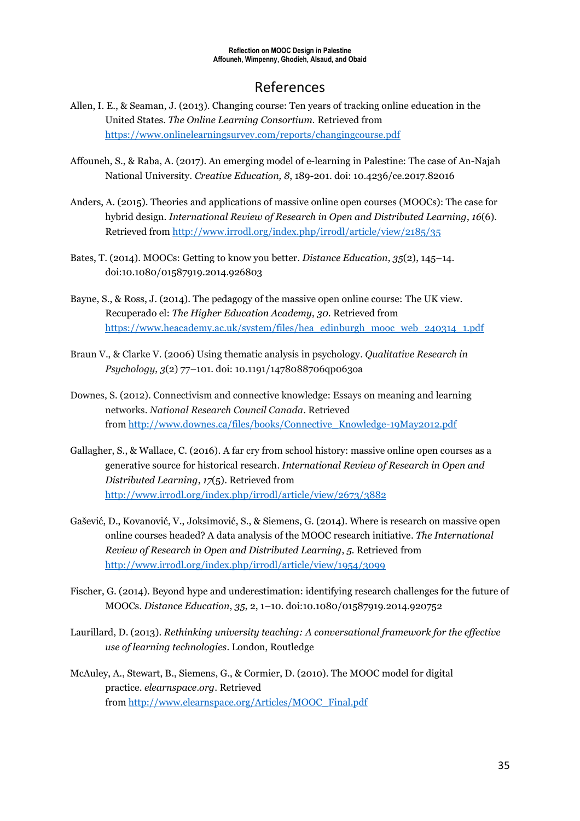# References

- Allen, I. E., & Seaman, J. (2013). Changing course: Ten years of tracking online education in the United States. *The Online Learning Consortium.* Retrieved from <https://www.onlinelearningsurvey.com/reports/changingcourse.pdf>
- Affouneh, S., & Raba, A. (2017). An emerging model of e-learning in Palestine: The case of An-Najah National University. *Creative Education, 8*, 189-201. doi: [10.4236/ce.2017.82016](https://url4.mailanyone.net/v1/?m=1ewgY9-0002bJ-42&i=57e1b682&c=Yt79Q70fodtNy5xhyOZOconrBF601F6QqVNq7OphctgPNBt3zOcIlnHF7YW1h6jiWWeVajkoP7vp3yoavzHSPKUGvkk9dZPvD-ajlMUvIpaO2h98C404ra7tqei6t3_zQ9RQ8ocbSj3yVA0DEiHFBd9Ryi-J9ooXOJB_81WpMU_5i_0sOa3rr4tU7gQCrp9sAzPKYzqIwr9bXbGABWsfRZbU0JsbUY6BrfhQUtQHb1qOulUHKu8Rd-EIdOQfjO3i)
- Anders, A. (2015). Theories and applications of massive online open courses (MOOCs): The case for hybrid design. *International Review of Research in Open and Distributed Learning*, *16*(6). Retrieved from<http://www.irrodl.org/index.php/irrodl/article/view/2185/35>
- Bates, T. (2014). MOOCs: Getting to know you better. *Distance Education*, *35*(2), 145–14. doi:10.1080/01587919.2014.926803
- Bayne, S., & Ross, J. (2014). The pedagogy of the massive open online course: The UK view. Recuperado el: *The Higher Education Academy*, *30*. Retrieved from [https://www.heacademy.ac.uk/system/files/hea\\_edinburgh\\_mooc\\_web\\_240314\\_1.pdf](https://www.heacademy.ac.uk/system/files/hea_edinburgh_mooc_web_240314_1.pdf)
- Braun V., & Clarke V. (2006) Using thematic analysis in psychology. *Qualitative Research in Psychology*, *3*(2) 77–101. doi: 10.1191/1478088706qp063oa
- Downes, S. (2012). Connectivism and connective knowledge: Essays on meaning and learning networks. *National Research Council Canada*. Retrieved from [http://www.downes.ca/files/books/Connective\\_Knowledge-19May2012.pdf](http://www.downes.ca/files/books/Connective_Knowledge-19May2012.pdf)
- Gallagher, S., & Wallace, C. (2016). A far cry from school history: massive online open courses as a generative source for historical research. *International Review of Research in Open and Distributed Learning*, *17*(5). Retrieved from <http://www.irrodl.org/index.php/irrodl/article/view/2673/3882>
- Gašević, D., Kovanović, V., Joksimović, S., & Siemens, G. (2014). Where is research on massive open online courses headed? A data analysis of the MOOC research initiative. *The International Review of Research in Open and Distributed Learning*, *5.* Retrieved from <http://www.irrodl.org/index.php/irrodl/article/view/1954/3099>
- Fischer, G. (2014). Beyond hype and underestimation: identifying research challenges for the future of MOOCs. *Distance Education*, *35*, 2, 1–10. doi:10.1080/01587919.2014.920752
- Laurillard, D. (2013). *Rethinking university teaching: A conversational framework for the effective use of learning technologies*. London, Routledge
- McAuley, A., Stewart, B., Siemens, G., & Cormier, D. (2010). The MOOC model for digital practice. *elearnspace.org*. Retrieved from [http://www.elearnspace.org/Articles/MOOC\\_Final.pdf](http://www.elearnspace.org/Articles/MOOC_Final.pdf)